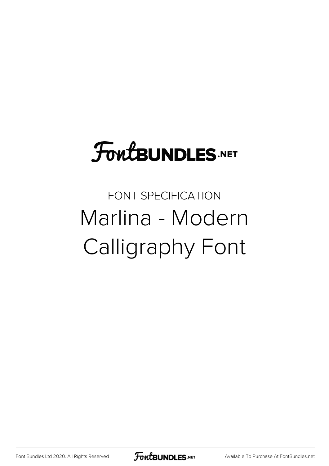## **FoutBUNDLES.NET**

## FONT SPECIFICATION Marlina - Modern Calligraphy Font

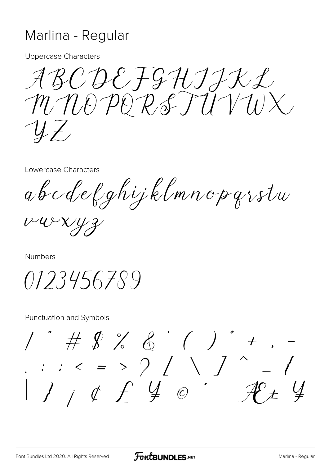## Marlina - Regular

**Uppercase Characters** 

ABCDEFGHIIKL MNOPORSTUVWX  $\mathcal{Y}$ 

Lowercase Characters

abcdefghijklmnopgrstw

 $v-wxyz$ 

Numbers

0123456789

**Punctuation and Symbols** 

 $1''$  # \$ % & ' ( ) \* + , -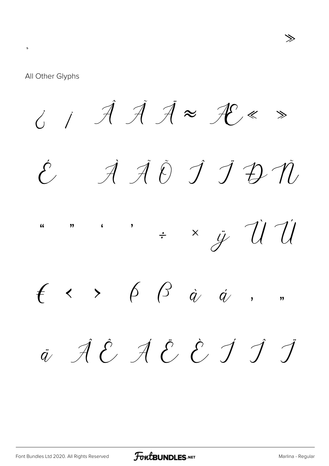All Other Glyphs

 $\lambda$  $\frac{1}{2}$  $\circ$  $\mathcal{P}$  $\hat{\ell}$   $\hat{\ell}$   $\hat{\ell}$   $\hat{\ell}$   $\hat{\ell}$   $\times$   $\hat{\ell}$   $\hat{\ell}$   $\hat{\ell}$  $\hat{U} \ddot{U} \dot{\Psi} \not\theta \quad \beta \dot{a} \not\theta \dot{a}$ a  $\dot{q}$   $\alpha$   $\zeta$   $\boldsymbol{L}$   $\varnothing$  $\overline{\mathbf{O}}$  $\hat{L}$ Œ  $\ddot{q}$ 

≫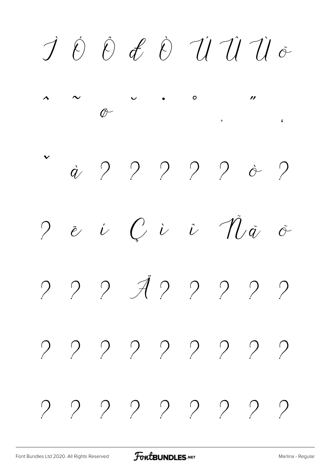$i$   $i$   $d$   $\alpha$   $\dot{\sigma}$   $\dot{\sigma}$  1  $\ddot{\sigma}$  ÷ ł  $\sigma$  œ  $\beta$   $\ddot{w}$   $\dot{y}$   $^6$ ÿ ? ? ? ? ? ?  $\mathcal{P}$ ? ? ? ? ? ? ? ? ? ? ? ? ? ? ? ? ? ? ? ? ? ? ? ? ? ?